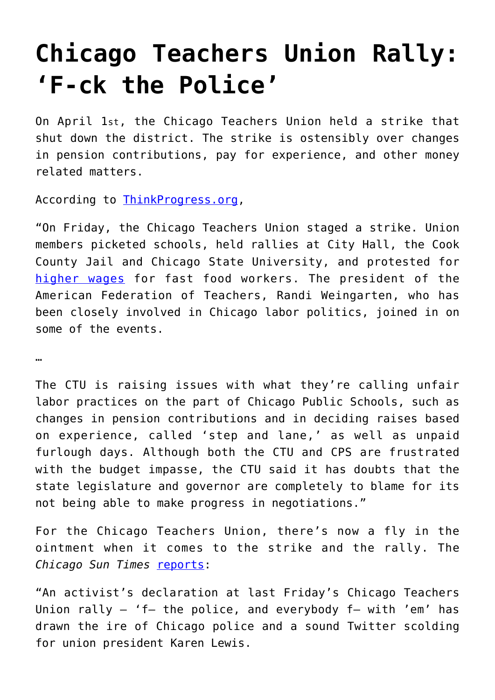## **[Chicago Teachers Union Rally:](https://intellectualtakeout.org/2016/04/chicago-teachers-union-rally-f-ck-the-police/) ['F-ck the Police'](https://intellectualtakeout.org/2016/04/chicago-teachers-union-rally-f-ck-the-police/)**

On April 1st, the Chicago Teachers Union held a strike that shut down the district. The strike is ostensibly over changes in pension contributions, pay for experience, and other money related matters.

According to [ThinkProgress.org](http://thinkprogress.org/education/2016/04/04/3764943/teachers-union-strike/),

"On Friday, the Chicago Teachers Union staged a strike. Union members picketed schools, held rallies at City Hall, the Cook County Jail and Chicago State University, and protested for [higher wages](http://thinkprogress.org/education/2016/04/01/3765608/fast-food-workers-fight-for-15/) for fast food workers. The president of the American Federation of Teachers, Randi Weingarten, who has been closely involved in Chicago labor politics, joined in on some of the events.

…

The CTU is raising issues with what they're calling unfair labor practices on the part of Chicago Public Schools, such as changes in pension contributions and in deciding raises based on experience, called 'step and lane,' as well as unpaid furlough days. Although both the CTU and CPS are frustrated with the budget impasse, the CTU said it has doubts that the state legislature and governor are completely to blame for its not being able to make progress in negotiations."

For the Chicago Teachers Union, there's now a fly in the ointment when it comes to the strike and the rally. The *Chicago Sun Times* [reports:](http://chicago.suntimes.com/politics/fop-angry-over-antipolice-rhetoric-ctu-rally/)

"An activist's declaration at last Friday's Chicago Teachers Union rally  $-$  'f- the police, and everybody f- with 'em' has drawn the ire of Chicago police and a sound Twitter scolding for union president Karen Lewis.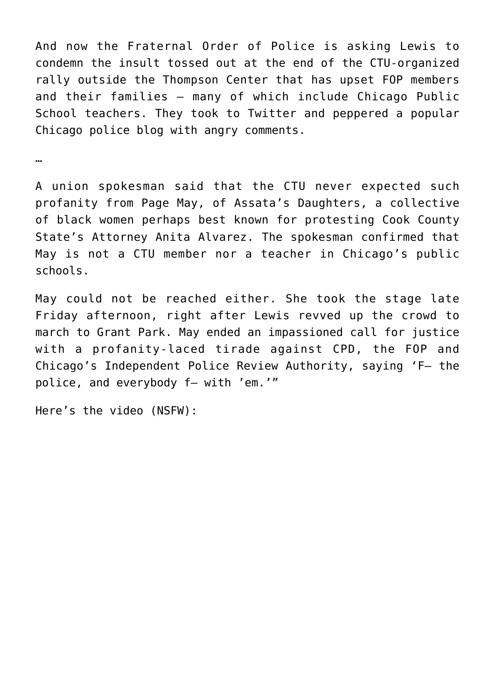And now the Fraternal Order of Police is asking Lewis to condemn the insult tossed out at the end of the CTU-organized rally outside the Thompson Center that has upset FOP members and their families — many of which include Chicago Public School teachers. They took to Twitter and peppered a popular Chicago police blog with angry comments.

…

A union spokesman said that the CTU never expected such profanity from Page May, of Assata's Daughters, a collective of black women perhaps best known for protesting Cook County State's Attorney Anita Alvarez. The spokesman confirmed that May is not a CTU member nor a teacher in Chicago's public schools.

May could not be reached either. She took the stage late Friday afternoon, right after Lewis revved up the crowd to march to Grant Park. May ended an impassioned call for justice with a profanity-laced tirade against CPD, the FOP and Chicago's Independent Police Review Authority, saying 'F— the police, and everybody f— with 'em.'"

Here's the video (NSFW):